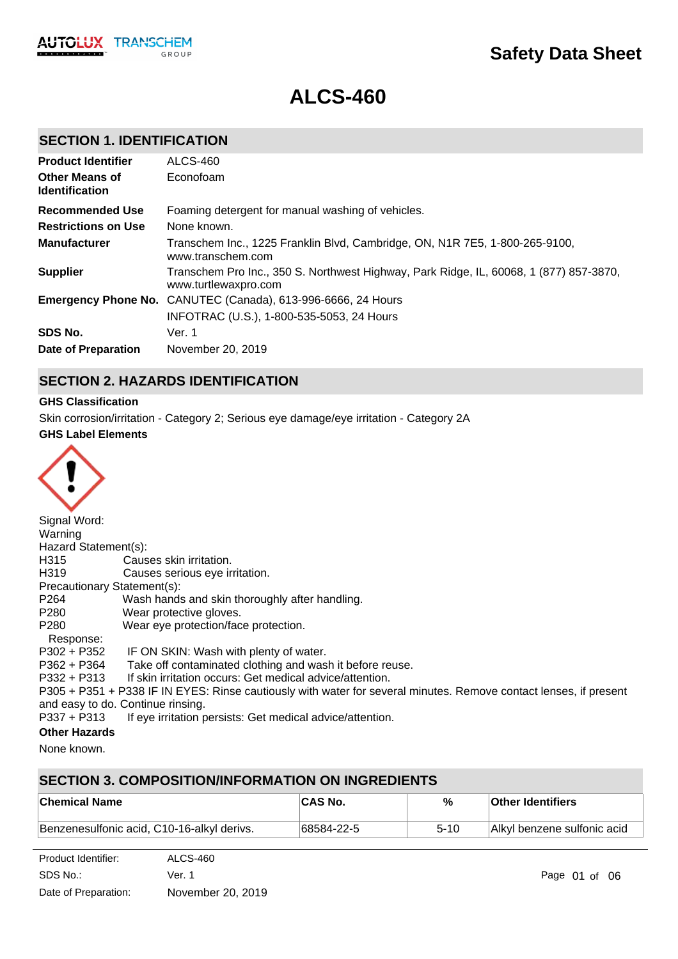# **Safety Data Sheet**

# **ALCS-460**

# **SECTION 1. IDENTIFICATION**

| <b>Product Identifier</b><br><b>Other Means of</b><br><b>Identification</b> | ALCS-460<br>Econofoam                                                                                          |
|-----------------------------------------------------------------------------|----------------------------------------------------------------------------------------------------------------|
| Recommended Use                                                             | Foaming detergent for manual washing of vehicles.                                                              |
| <b>Restrictions on Use</b>                                                  | None known.                                                                                                    |
| <b>Manufacturer</b>                                                         | Transchem Inc., 1225 Franklin Blvd, Cambridge, ON, N1R 7E5, 1-800-265-9100,<br>www.transchem.com               |
| <b>Supplier</b>                                                             | Transchem Pro Inc., 350 S. Northwest Highway, Park Ridge, IL, 60068, 1 (877) 857-3870,<br>www.turtlewaxpro.com |
|                                                                             | <b>Emergency Phone No.</b> CANUTEC (Canada), 613-996-6666, 24 Hours                                            |
|                                                                             | INFOTRAC (U.S.), 1-800-535-5053, 24 Hours                                                                      |
| SDS No.                                                                     | Ver. 1                                                                                                         |
| Date of Preparation                                                         | November 20, 2019                                                                                              |

# **SECTION 2. HAZARDS IDENTIFICATION**

### **GHS Classification**

Skin corrosion/irritation - Category 2; Serious eye damage/eye irritation - Category 2A

### **GHS Label Elements**



| Signal Word:                |                                                                                                                   |
|-----------------------------|-------------------------------------------------------------------------------------------------------------------|
| Warning                     |                                                                                                                   |
| Hazard Statement(s):        |                                                                                                                   |
| H315                        | Causes skin irritation.                                                                                           |
| H319                        | Causes serious eye irritation.                                                                                    |
| Precautionary Statement(s): |                                                                                                                   |
| P <sub>264</sub>            | Wash hands and skin thoroughly after handling.                                                                    |
| P280                        | Wear protective gloves.                                                                                           |
| P <sub>280</sub>            | Wear eye protection/face protection.                                                                              |
| Response:                   |                                                                                                                   |
| P302 + P352                 | IF ON SKIN: Wash with plenty of water.                                                                            |
| P362 + P364                 | Take off contaminated clothing and wash it before reuse.                                                          |
| P332 + P313                 | If skin irritation occurs: Get medical advice/attention.                                                          |
|                             | P305 + P351 + P338 IF IN EYES: Rinse cautiously with water for several minutes. Remove contact lenses, if present |
|                             | and easy to do. Continue rinsing.                                                                                 |
| $P337 + P313$               | If eye irritation persists: Get medical advice/attention.                                                         |
| Othas Hamarda               |                                                                                                                   |

### **Other Hazards**

None known.

# **SECTION 3. COMPOSITION/INFORMATION ON INGREDIENTS**

| ∣Chemical Name                             | <b>ICAS No.</b> | %    | <b>Other Identifiers</b>    |
|--------------------------------------------|-----------------|------|-----------------------------|
| Benzenesulfonic acid, C10-16-alkyl derivs. | 68584-22-5      | 5-10 | Alkyl benzene sulfonic acid |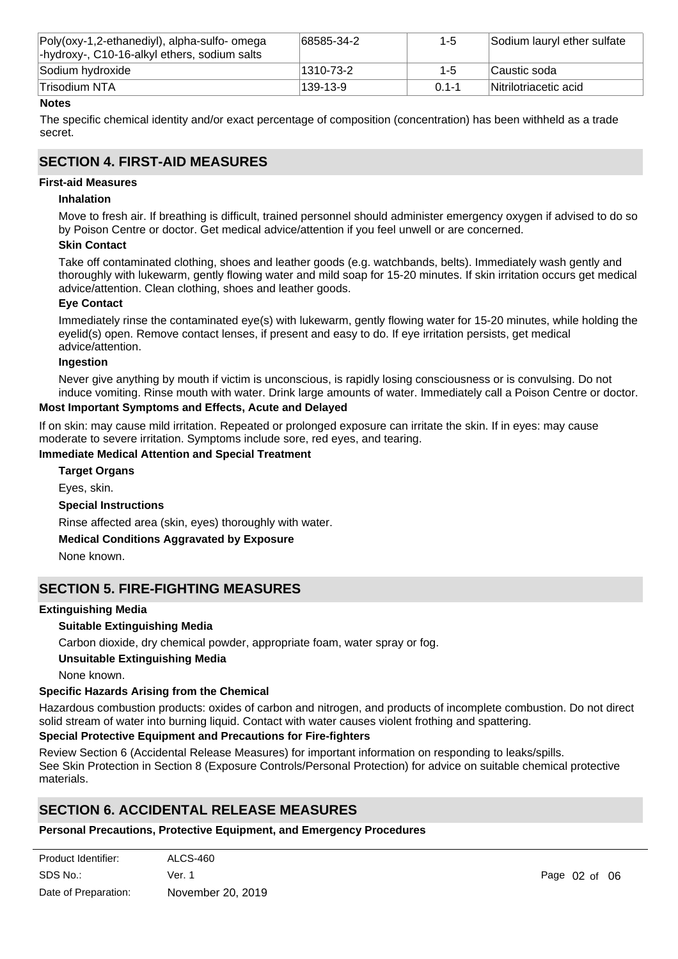| Poly(oxy-1,2-ethanediyl), alpha-sulfo- omega<br>-hydroxy-, C10-16-alkyl ethers, sodium salts | 68585-34-2 | $1 - 5$   | Sodium lauryl ether sulfate |
|----------------------------------------------------------------------------------------------|------------|-----------|-----------------------------|
| Sodium hydroxide                                                                             | 1310-73-2  | $1 - 5$   | Caustic soda                |
| Trisodium NTA                                                                                | 139-13-9   | $01 - -1$ | Nitrilotriacetic acid       |

### **Notes**

The specific chemical identity and/or exact percentage of composition (concentration) has been withheld as a trade secret.

# **SECTION 4. FIRST-AID MEASURES**

### **First-aid Measures**

### **Inhalation**

Move to fresh air. If breathing is difficult, trained personnel should administer emergency oxygen if advised to do so by Poison Centre or doctor. Get medical advice/attention if you feel unwell or are concerned.

### **Skin Contact**

Take off contaminated clothing, shoes and leather goods (e.g. watchbands, belts). Immediately wash gently and thoroughly with lukewarm, gently flowing water and mild soap for 15-20 minutes. If skin irritation occurs get medical advice/attention. Clean clothing, shoes and leather goods.

### **Eye Contact**

Immediately rinse the contaminated eye(s) with lukewarm, gently flowing water for 15-20 minutes, while holding the eyelid(s) open. Remove contact lenses, if present and easy to do. If eye irritation persists, get medical advice/attention.

### **Ingestion**

Never give anything by mouth if victim is unconscious, is rapidly losing consciousness or is convulsing. Do not induce vomiting. Rinse mouth with water. Drink large amounts of water. Immediately call a Poison Centre or doctor.

### **Most Important Symptoms and Effects, Acute and Delayed**

If on skin: may cause mild irritation. Repeated or prolonged exposure can irritate the skin. If in eyes: may cause moderate to severe irritation. Symptoms include sore, red eyes, and tearing.

### **Immediate Medical Attention and Special Treatment**

**Special Instructions** Rinse affected area (skin, eyes) thoroughly with water. **Medical Conditions Aggravated by Exposure** None known. **Target Organs** Eyes, skin.

### **SECTION 5. FIRE-FIGHTING MEASURES**

### **Extinguishing Media**

### **Suitable Extinguishing Media**

Carbon dioxide, dry chemical powder, appropriate foam, water spray or fog.

### **Unsuitable Extinguishing Media**

None known.

### **Specific Hazards Arising from the Chemical**

Hazardous combustion products: oxides of carbon and nitrogen, and products of incomplete combustion. Do not direct solid stream of water into burning liquid. Contact with water causes violent frothing and spattering.

### **Special Protective Equipment and Precautions for Fire-fighters**

Review Section 6 (Accidental Release Measures) for important information on responding to leaks/spills.

See Skin Protection in Section 8 (Exposure Controls/Personal Protection) for advice on suitable chemical protective materials.

# **SECTION 6. ACCIDENTAL RELEASE MEASURES**

### **Personal Precautions, Protective Equipment, and Emergency Procedures**

| Product Identifier:  | ALCS-460          |
|----------------------|-------------------|
| SDS No.:             | Ver. 1            |
| Date of Preparation: | November 20, 2019 |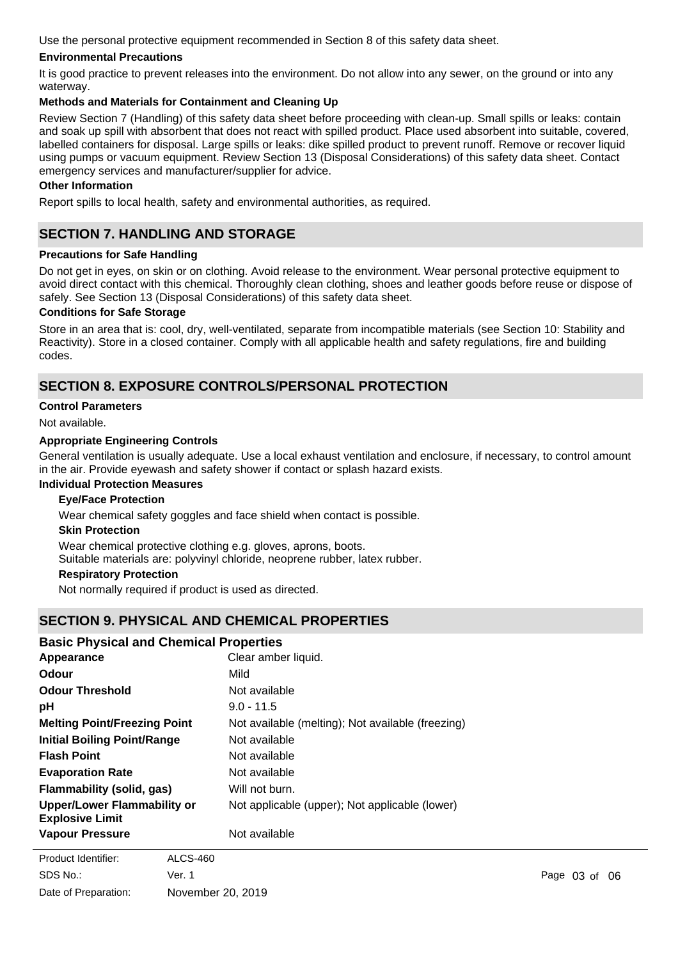Use the personal protective equipment recommended in Section 8 of this safety data sheet.

### **Environmental Precautions**

It is good practice to prevent releases into the environment. Do not allow into any sewer, on the ground or into any waterway.

### **Methods and Materials for Containment and Cleaning Up**

Review Section 7 (Handling) of this safety data sheet before proceeding with clean-up. Small spills or leaks: contain and soak up spill with absorbent that does not react with spilled product. Place used absorbent into suitable, covered, labelled containers for disposal. Large spills or leaks: dike spilled product to prevent runoff. Remove or recover liquid using pumps or vacuum equipment. Review Section 13 (Disposal Considerations) of this safety data sheet. Contact emergency services and manufacturer/supplier for advice.

### **Other Information**

Report spills to local health, safety and environmental authorities, as required.

# **SECTION 7. HANDLING AND STORAGE**

### **Precautions for Safe Handling**

Do not get in eyes, on skin or on clothing. Avoid release to the environment. Wear personal protective equipment to avoid direct contact with this chemical. Thoroughly clean clothing, shoes and leather goods before reuse or dispose of safely. See Section 13 (Disposal Considerations) of this safety data sheet.

### **Conditions for Safe Storage**

Store in an area that is: cool, dry, well-ventilated, separate from incompatible materials (see Section 10: Stability and Reactivity). Store in a closed container. Comply with all applicable health and safety regulations, fire and building codes.

# **SECTION 8. EXPOSURE CONTROLS/PERSONAL PROTECTION**

### **Control Parameters**

Not available.

### **Appropriate Engineering Controls**

General ventilation is usually adequate. Use a local exhaust ventilation and enclosure, if necessary, to control amount in the air. Provide eyewash and safety shower if contact or splash hazard exists.

### **Individual Protection Measures**

### **Eye/Face Protection**

Wear chemical safety goggles and face shield when contact is possible.

### **Skin Protection**

Wear chemical protective clothing e.g. gloves, aprons, boots.

Suitable materials are: polyvinyl chloride, neoprene rubber, latex rubber.

### **Respiratory Protection**

Not normally required if product is used as directed.

### **SECTION 9. PHYSICAL AND CHEMICAL PROPERTIES**

### **Basic Physical and Chemical Properties**

| Appearance                                            | Clear amber liquid.                               |
|-------------------------------------------------------|---------------------------------------------------|
| Odour                                                 | Mild                                              |
| <b>Odour Threshold</b>                                | Not available                                     |
| рH                                                    | $9.0 - 11.5$                                      |
| <b>Melting Point/Freezing Point</b>                   | Not available (melting); Not available (freezing) |
| <b>Initial Boiling Point/Range</b>                    | Not available                                     |
| <b>Flash Point</b>                                    | Not available                                     |
| <b>Evaporation Rate</b>                               | Not available                                     |
| <b>Flammability (solid, gas)</b>                      | Will not burn.                                    |
| Upper/Lower Flammability or<br><b>Explosive Limit</b> | Not applicable (upper); Not applicable (lower)    |
| <b>Vapour Pressure</b>                                | Not available                                     |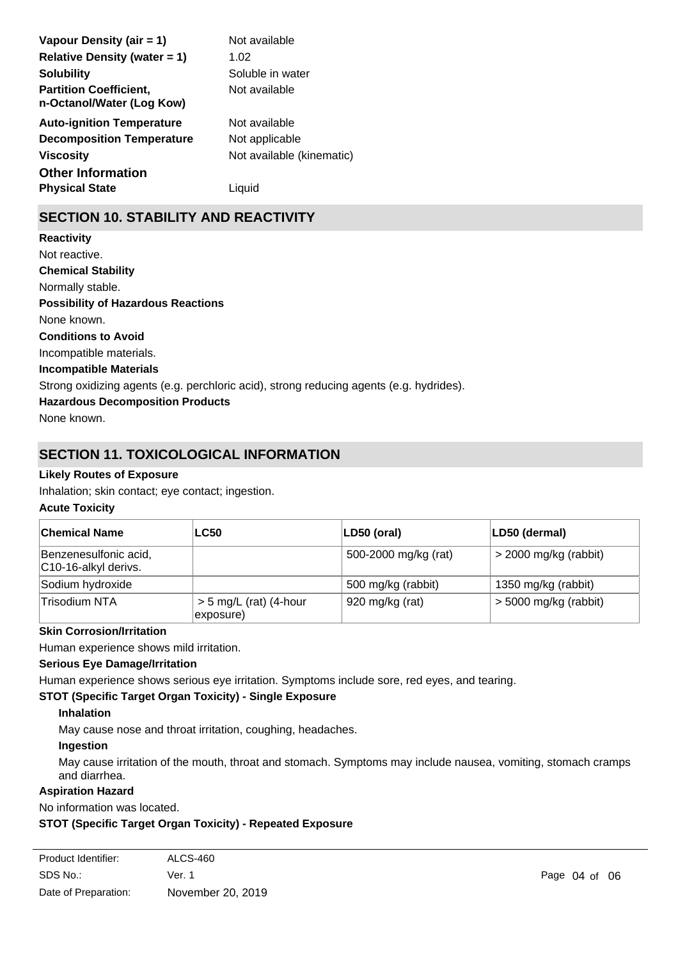| Vapour Density (air = 1)                                   | Not available             |
|------------------------------------------------------------|---------------------------|
| <b>Relative Density (water = 1)</b>                        | 1.02                      |
| <b>Solubility</b>                                          | Soluble in water          |
| <b>Partition Coefficient,</b><br>n-Octanol/Water (Log Kow) | Not available             |
| <b>Auto-ignition Temperature</b>                           | Not available             |
| <b>Decomposition Temperature</b>                           | Not applicable            |
| <b>Viscosity</b>                                           | Not available (kinematic) |
| <b>Other Information</b>                                   |                           |
| <b>Physical State</b>                                      | Liauid                    |

# **SECTION 10. STABILITY AND REACTIVITY**

**Chemical Stability** Normally stable. **Conditions to Avoid** Incompatible materials. **Incompatible Materials** Strong oxidizing agents (e.g. perchloric acid), strong reducing agents (e.g. hydrides). **Hazardous Decomposition Products Possibility of Hazardous Reactions** None known. **Reactivity** Not reactive.

None known.

# **SECTION 11. TOXICOLOGICAL INFORMATION**

### **Likely Routes of Exposure**

Inhalation; skin contact; eye contact; ingestion.

### **Acute Toxicity**

| ∣Chemical Name                                | <b>LC50</b>                           | LD50 (oral)          | LD50 (dermal)           |
|-----------------------------------------------|---------------------------------------|----------------------|-------------------------|
| Benzenesulfonic acid,<br>C10-16-alkyl derivs. |                                       | 500-2000 mg/kg (rat) | $>$ 2000 mg/kg (rabbit) |
| Sodium hydroxide                              |                                       | 500 mg/kg (rabbit)   | 1350 mg/kg (rabbit)     |
| Trisodium NTA                                 | $> 5$ mg/L (rat) (4-hour<br>exposure) | 920 mg/kg (rat)      | $>$ 5000 mg/kg (rabbit) |

### **Skin Corrosion/Irritation**

Human experience shows mild irritation.

### **Serious Eye Damage/Irritation**

Human experience shows serious eye irritation. Symptoms include sore, red eyes, and tearing.

### **STOT (Specific Target Organ Toxicity) - Single Exposure**

### **Inhalation**

May cause nose and throat irritation, coughing, headaches.

### **Ingestion**

May cause irritation of the mouth, throat and stomach. Symptoms may include nausea, vomiting, stomach cramps and diarrhea.

### **Aspiration Hazard**

No information was located.

### **STOT (Specific Target Organ Toxicity) - Repeated Exposure**

| Product Identifier:  | ALCS-460          |
|----------------------|-------------------|
| SDS No.:             | Ver. 1            |
| Date of Preparation: | November 20, 2019 |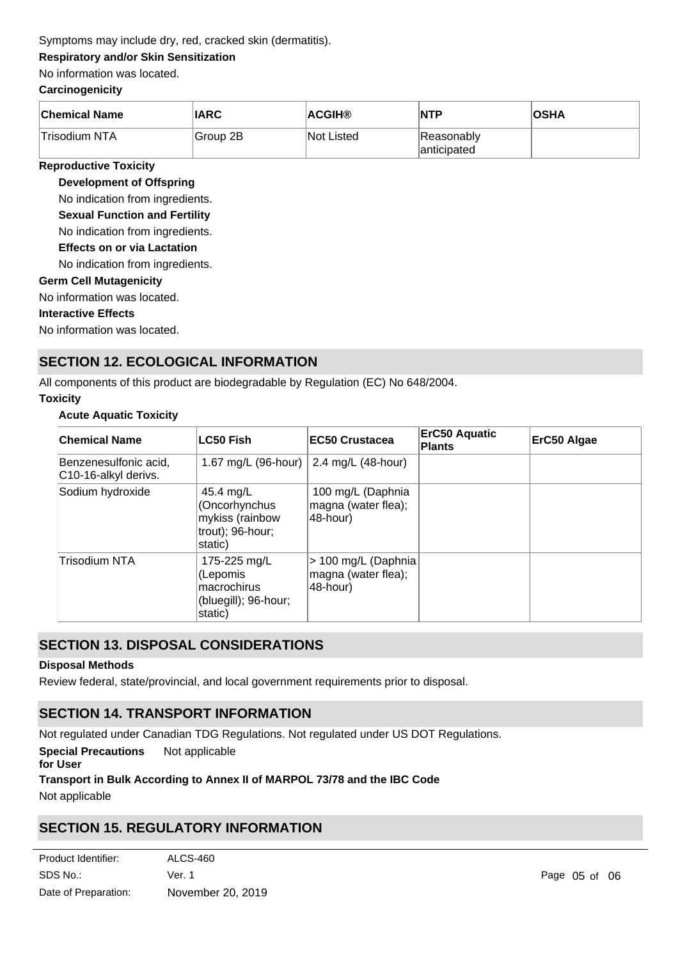### Symptoms may include dry, red, cracked skin (dermatitis).

### **Respiratory and/or Skin Sensitization**

### No information was located.

### **Carcinogenicity**

| <b>Chemical Name</b> | <b>IARC</b>           | ∣ACGIH®           | NTP                        | <b>OSHA</b> |
|----------------------|-----------------------|-------------------|----------------------------|-------------|
| Trisodium NTA        | <sup>∣</sup> Group 2B | <b>Not Listed</b> | Reasonably<br>lanticipated |             |

### **Reproductive Toxicity**

**Development of Offspring**

No indication from ingredients.

**Sexual Function and Fertility**

No indication from ingredients.

**Effects on or via Lactation**

No indication from ingredients.

### **Germ Cell Mutagenicity**

No information was located.

### **Interactive Effects**

No information was located.

# **SECTION 12. ECOLOGICAL INFORMATION**

All components of this product are biodegradable by Regulation (EC) No 648/2004.

### **Toxicity**

### **Acute Aquatic Toxicity**

| <b>Chemical Name</b>                          | <b>LC50 Fish</b>                                                             | <b>EC50 Crustacea</b>                                  | <b>ErC50 Aquatic</b><br><b>Plants</b> | ErC50 Algae |
|-----------------------------------------------|------------------------------------------------------------------------------|--------------------------------------------------------|---------------------------------------|-------------|
| Benzenesulfonic acid,<br>C10-16-alkyl derivs. | 1.67 mg/L (96-hour)                                                          | 2.4 mg/L (48-hour)                                     |                                       |             |
| Sodium hydroxide                              | 45.4 mg/L<br>(Oncorhynchus<br>mykiss (rainbow<br>trout); 96-hour;<br>static) | 100 mg/L (Daphnia<br>magna (water flea);<br>48-hour)   |                                       |             |
| <b>Trisodium NTA</b>                          | 175-225 mg/L<br>(Lepomis<br>macrochirus<br>(bluegill); 96-hour;<br>static)   | > 100 mg/L (Daphnia<br>magna (water flea);<br>48-hour) |                                       |             |

# **SECTION 13. DISPOSAL CONSIDERATIONS**

### **Disposal Methods**

Review federal, state/provincial, and local government requirements prior to disposal.

# **SECTION 14. TRANSPORT INFORMATION**

Not regulated under Canadian TDG Regulations. Not regulated under US DOT Regulations.

**Special Precautions** Not applicable

### **for User**

### **Transport in Bulk According to Annex II of MARPOL 73/78 and the IBC Code**

Not applicable

# **SECTION 15. REGULATORY INFORMATION**

| Product Identifier:  | ALCS-460          |
|----------------------|-------------------|
| SDS No.:             | Ver. 1            |
| Date of Preparation: | November 20, 2019 |